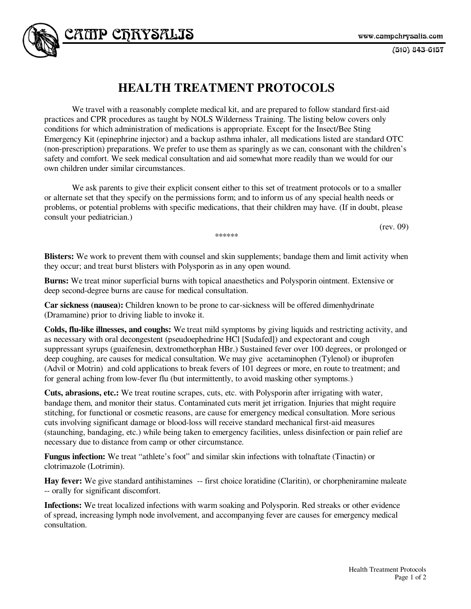$(510)$  843-6157

## **HEALTH TREATMENT PROTOCOLS**

CAITP CFRYSALIS

 We travel with a reasonably complete medical kit, and are prepared to follow standard first-aid practices and CPR procedures as taught by NOLS Wilderness Training. The listing below covers only conditions for which administration of medications is appropriate. Except for the Insect/Bee Sting Emergency Kit (epinephrine injector) and a backup asthma inhaler, all medications listed are standard OTC (non-prescription) preparations. We prefer to use them as sparingly as we can, consonant with the children's safety and comfort. We seek medical consultation and aid somewhat more readily than we would for our own children under similar circumstances.

 We ask parents to give their explicit consent either to this set of treatment protocols or to a smaller or alternate set that they specify on the permissions form; and to inform us of any special health needs or problems, or potential problems with specific medications, that their children may have. (If in doubt, please consult your pediatrician.)

(rev. 09)

**Blisters:** We work to prevent them with counsel and skin supplements; bandage them and limit activity when they occur; and treat burst blisters with Polysporin as in any open wound.

\*\*\*\*\*\*

**Burns:** We treat minor superficial burns with topical anaesthetics and Polysporin ointment. Extensive or deep second-degree burns are cause for medical consultation.

**Car sickness (nausea):** Children known to be prone to car-sickness will be offered dimenhydrinate (Dramamine) prior to driving liable to invoke it.

**Colds, flu-like illnesses, and coughs:** We treat mild symptoms by giving liquids and restricting activity, and as necessary with oral decongestent (pseudoephedrine HCl [Sudafed]) and expectorant and cough suppressant syrups (guaifenesin, dextromethorphan HBr.) Sustained fever over 100 degrees, or prolonged or deep coughing, are causes for medical consultation. We may give acetaminophen (Tylenol) or ibuprofen (Advil or Motrin) and cold applications to break fevers of 101 degrees or more, en route to treatment; and for general aching from low-fever flu (but intermittently, to avoid masking other symptoms.)

**Cuts, abrasions, etc.:** We treat routine scrapes, cuts, etc. with Polysporin after irrigating with water, bandage them, and monitor their status. Contaminated cuts merit jet irrigation. Injuries that might require stitching, for functional or cosmetic reasons, are cause for emergency medical consultation. More serious cuts involving significant damage or blood-loss will receive standard mechanical first-aid measures (staunching, bandaging, etc.) while being taken to emergency facilities, unless disinfection or pain relief are necessary due to distance from camp or other circumstance.

**Fungus infection:** We treat "athlete's foot" and similar skin infections with tolnaftate (Tinactin) or clotrimazole (Lotrimin).

**Hay fever:** We give standard antihistamines -- first choice loratidine (Claritin), or chorpheniramine maleate -- orally for significant discomfort.

**Infections:** We treat localized infections with warm soaking and Polysporin. Red streaks or other evidence of spread, increasing lymph node involvement, and accompanying fever are causes for emergency medical consultation.